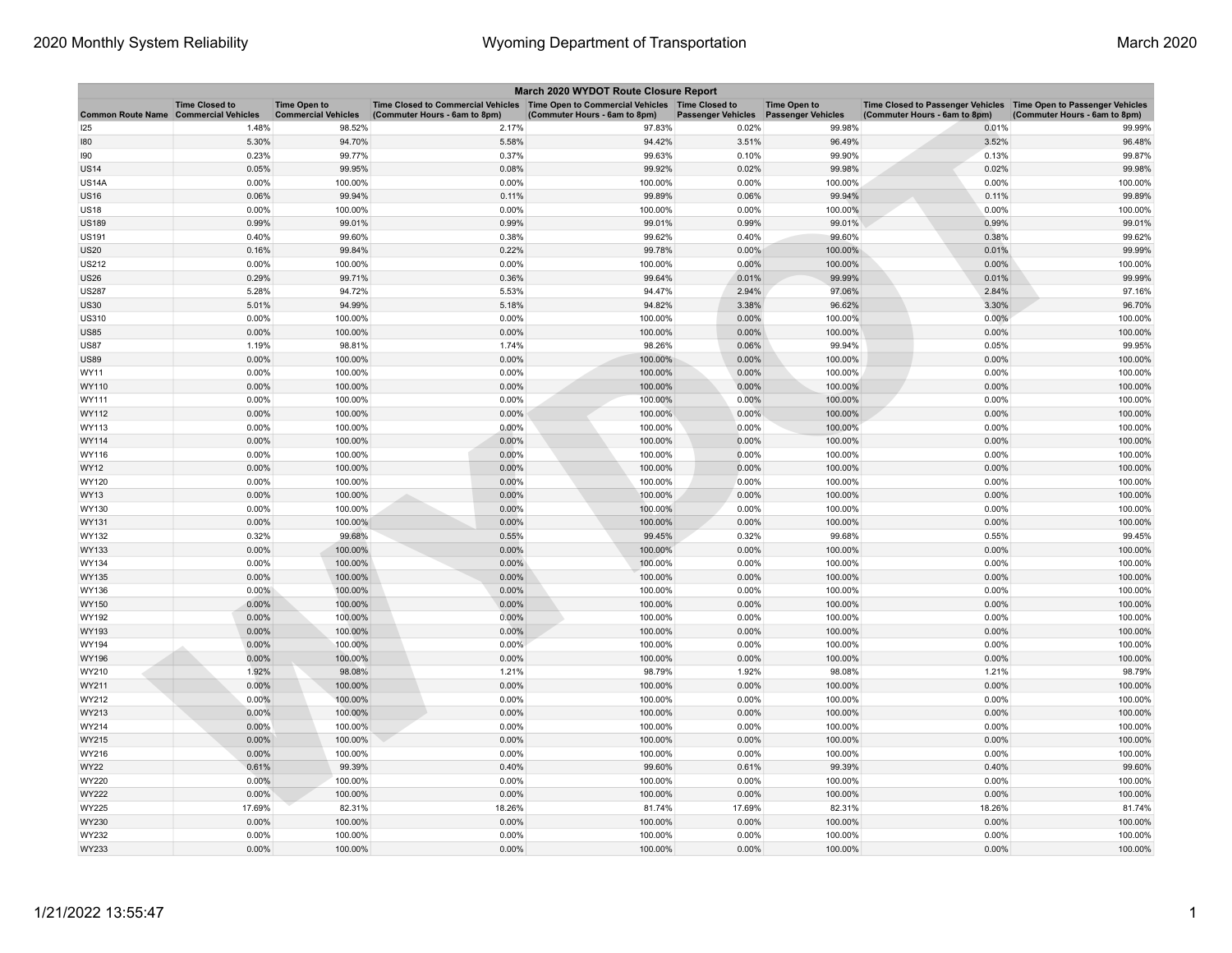| March 2020 WYDOT Route Closure Report        |                       |                                                   |                                                                                                                       |                               |                           |                                                  |                                                                                                      |                               |  |
|----------------------------------------------|-----------------------|---------------------------------------------------|-----------------------------------------------------------------------------------------------------------------------|-------------------------------|---------------------------|--------------------------------------------------|------------------------------------------------------------------------------------------------------|-------------------------------|--|
| <b>Common Route Name Commercial Vehicles</b> | <b>Time Closed to</b> | <b>Time Open to</b><br><b>Commercial Vehicles</b> | Time Closed to Commercial Vehicles  Time Open to Commercial Vehicles  Time Closed to<br>(Commuter Hours - 6am to 8pm) | (Commuter Hours - 6am to 8pm) | <b>Passenger Vehicles</b> | <b>Time Open to</b><br><b>Passenger Vehicles</b> | Time Closed to Passenger Vehicles   Time Open to Passenger Vehicles<br>(Commuter Hours - 6am to 8pm) | (Commuter Hours - 6am to 8pm) |  |
| 125                                          | 1.48%                 | 98.52%                                            | 2.17%                                                                                                                 | 97.83%                        | 0.02%                     | 99.98%                                           | 0.01%                                                                                                | 99.99%                        |  |
| 180                                          | 5.30%                 | 94.70%                                            | 5.58%                                                                                                                 | 94.42%                        | 3.51%                     | 96.49%                                           | 3.52%                                                                                                | 96.48%                        |  |
| 190                                          | 0.23%                 | 99.77%                                            | 0.37%                                                                                                                 | 99.63%                        | 0.10%                     | 99.90%                                           | 0.13%                                                                                                | 99.87%                        |  |
| <b>US14</b>                                  | 0.05%                 | 99.95%                                            | 0.08%                                                                                                                 | 99.92%                        | 0.02%                     | 99.98%                                           | 0.02%                                                                                                | 99.98%                        |  |
| US14A                                        | 0.00%                 | 100.00%                                           | 0.00%                                                                                                                 | 100.00%                       | 0.00%                     | 100.00%                                          | 0.00%                                                                                                | 100.00%                       |  |
| <b>US16</b>                                  | 0.06%                 | 99.94%                                            | 0.11%                                                                                                                 | 99.89%                        | 0.06%                     | 99.94%                                           | 0.11%                                                                                                | 99.89%                        |  |
| US18                                         | 0.00%                 | 100.00%                                           | 0.00%                                                                                                                 | 100.00%                       | 0.00%                     | 100.00%                                          | 0.00%                                                                                                | 100.00%                       |  |
| US189                                        | 0.99%                 | 99.01%                                            | 0.99%                                                                                                                 | 99.01%                        | 0.99%                     | 99.01%                                           | 0.99%                                                                                                | 99.01%                        |  |
| US191                                        | 0.40%                 | 99.60%                                            | 0.38%                                                                                                                 | 99.62%                        | 0.40%                     | 99.60%                                           | 0.38%                                                                                                | 99.62%                        |  |
| <b>US20</b>                                  | 0.16%                 | 99.84%                                            | 0.22%                                                                                                                 | 99.78%                        | 0.00%                     | 100.00%                                          | 0.01%                                                                                                | 99.99%                        |  |
| US212                                        | 0.00%                 | 100.00%                                           | 0.00%                                                                                                                 | 100.00%                       | 0.00%                     | 100.00%                                          | $0.00\%$                                                                                             | 100.00%                       |  |
| US26                                         | 0.29%                 | 99.71%                                            | 0.36%                                                                                                                 | 99.64%                        | 0.01%                     | 99.99%                                           | 0.01%                                                                                                | 99.99%                        |  |
| <b>US287</b>                                 | 5.28%                 | 94.72%                                            | 5.53%                                                                                                                 | 94.47%                        | 2.94%                     | 97.06%                                           | 2.84%                                                                                                | 97.16%                        |  |
| <b>US30</b>                                  | 5.01%                 | 94.99%                                            | 5.18%                                                                                                                 | 94.82%                        | 3.38%                     | 96.62%                                           | 3.30%                                                                                                | 96.70%                        |  |
| US310                                        | 0.00%                 | 100.00%                                           | 0.00%                                                                                                                 | 100.00%                       | 0.00%                     | 100.00%                                          | 0.00%                                                                                                | 100.00%                       |  |
| <b>US85</b>                                  | 0.00%                 | 100.00%                                           | 0.00%                                                                                                                 | 100.00%                       | 0.00%                     | 100.00%                                          | 0.00%                                                                                                | 100.00%                       |  |
| <b>US87</b>                                  | 1.19%                 | 98.81%                                            | 1.74%                                                                                                                 | 98.26%                        | 0.06%                     | 99.94%                                           | 0.05%                                                                                                | 99.95%                        |  |
| <b>US89</b>                                  | 0.00%                 | 100.00%                                           | 0.00%                                                                                                                 | 100.00%                       | 0.00%                     | 100.00%                                          | 0.00%                                                                                                | 100.00%                       |  |
| WY11                                         | 0.00%                 | 100.00%                                           | 0.00%                                                                                                                 | 100.00%                       | 0.00%                     | 100.00%                                          | 0.00%                                                                                                | 100.00%                       |  |
| WY110                                        | 0.00%                 | 100.00%                                           | 0.00%                                                                                                                 | 100.00%                       | 0.00%                     | 100.00%                                          | 0.00%                                                                                                | 100.00%                       |  |
| WY111                                        | 0.00%                 | 100.00%                                           | 0.00%                                                                                                                 | 100.00%                       | 0.00%                     | 100.00%                                          | 0.00%                                                                                                | 100.00%                       |  |
| WY112                                        | 0.00%                 | 100.00%                                           | 0.00%                                                                                                                 | 100.00%                       | 0.00%                     | 100.00%                                          | 0.00%                                                                                                | 100.00%                       |  |
| WY113                                        | 0.00%                 | 100.00%                                           | 0.00%                                                                                                                 | 100.00%                       | 0.00%                     | 100.00%                                          | 0.00%                                                                                                | 100.00%                       |  |
| WY114                                        | 0.00%                 | 100.00%                                           | 0.00%                                                                                                                 | 100.00%                       | 0.00%                     | 100.00%                                          | 0.00%                                                                                                | 100.00%                       |  |
| WY116                                        | 0.00%                 | 100.00%                                           | 0.00%                                                                                                                 | 100.00%                       | 0.00%                     | 100.00%                                          | 0.00%                                                                                                | 100.00%                       |  |
| WY12                                         | 0.00%                 | 100.00%                                           | 0.00%                                                                                                                 | 100.00%                       | 0.00%                     | 100.00%                                          | 0.00%                                                                                                | 100.00%                       |  |
| WY120                                        | 0.00%                 | 100.00%                                           | 0.00%                                                                                                                 | 100.00%                       | 0.00%                     | 100.00%                                          | 0.00%                                                                                                | 100.00%                       |  |
| <b>WY13</b>                                  | 0.00%                 | 100.00%                                           | 0.00%                                                                                                                 | 100.00%                       | 0.00%                     | 100.00%                                          | 0.00%                                                                                                | 100.00%                       |  |
| WY130                                        | 0.00%                 | 100.00%                                           | 0.00%                                                                                                                 | 100.00%                       | 0.00%                     | 100.00%                                          | 0.00%                                                                                                | 100.00%                       |  |
| WY131                                        | 0.00%                 | 100.00%                                           | 0.00%                                                                                                                 | 100.00%                       | 0.00%                     | 100.00%                                          | 0.00%                                                                                                | 100.00%                       |  |
| WY132                                        | 0.32%                 | 99.68%                                            | 0.55%                                                                                                                 | 99.45%                        | 0.32%                     | 99.68%                                           | 0.55%                                                                                                | 99.45%                        |  |
| WY133                                        | 0.00%                 | 100.00%                                           | 0.00%                                                                                                                 | 100.00%                       | 0.00%                     | 100.00%                                          | 0.00%                                                                                                | 100.00%                       |  |
| WY134                                        | 0.00%                 | 100.00%                                           | 0.00%                                                                                                                 | 100.00%                       | 0.00%                     | 100.00%                                          | 0.00%                                                                                                | 100.00%                       |  |
| WY135                                        | 0.00%                 | 100.00%                                           | 0.00%                                                                                                                 | 100.00%                       | 0.00%                     | 100.00%                                          | 0.00%                                                                                                | 100.00%                       |  |
| WY136                                        | $0.00\%$              | 100.00%                                           | 0.00%                                                                                                                 | 100.00%                       | 0.00%                     | 100.00%                                          | 0.00%                                                                                                | 100.00%                       |  |
| WY150                                        | 0.00%                 | 100.00%                                           | 0.00%                                                                                                                 | 100.00%                       | 0.00%                     | 100.00%                                          | 0.00%                                                                                                | 100.00%                       |  |
| WY192                                        | 0.00%                 | 100.00%                                           | 0.00%                                                                                                                 | 100.00%                       | 0.00%                     | 100.00%                                          | 0.00%                                                                                                | 100.00%                       |  |
| WY193                                        | 0.00%                 | 100.00%                                           | 0.00%                                                                                                                 | 100.00%                       | 0.00%                     | 100.00%                                          | 0.00%                                                                                                | 100.00%                       |  |
| WY194                                        | 0.00%                 | 100.00%                                           | 0.00%                                                                                                                 | 100.00%                       | 0.00%                     | 100.00%                                          | 0.00%                                                                                                | 100.00%                       |  |
| WY196                                        | 0.00%                 | 100.00%                                           | 0.00%                                                                                                                 | 100.00%                       | 0.00%                     | 100.00%                                          | 0.00%                                                                                                | 100.00%                       |  |
| WY210                                        | 1.92%                 | 98.08%                                            | 1.21%                                                                                                                 | 98.79%                        | 1.92%                     | 98.08%                                           | 1.21%                                                                                                | 98.79%                        |  |
| WY211                                        | 0.00%                 | 100.00%                                           | 0.00%                                                                                                                 | 100.00%                       | 0.00%                     | 100.00%                                          | 0.00%                                                                                                | 100.00%                       |  |
| WY212                                        | 0.00%                 | 100.00%                                           | 0.00%                                                                                                                 | 100.00%                       | 0.00%                     | 100.00%                                          | 0.00%                                                                                                | 100.00%                       |  |
| WY213                                        | 0.00%                 | 100.00%                                           | 0.00%                                                                                                                 | 100.00%                       | 0.00%                     | 100.00%                                          | 0.00%                                                                                                | 100.00%                       |  |
| <b>WY214</b>                                 | 0.00%                 | 100.00%                                           | 0.00%                                                                                                                 | 100.00%                       | 0.00%                     | 100.00%                                          | 0.00%                                                                                                | 100.00%                       |  |
| WY215                                        | 0.00%                 | 100.00%                                           | 0.00%                                                                                                                 | 100.00%                       | 0.00%                     | 100.00%                                          | 0.00%                                                                                                | 100.00%                       |  |
| WY216                                        | 0.00%                 | 100.00%                                           | 0.00%                                                                                                                 | 100.00%                       | 0.00%                     | 100.00%                                          | 0.00%                                                                                                | 100.00%                       |  |
| WY22                                         | 0.61%                 | 99.39%                                            | 0.40%                                                                                                                 | 99.60%                        | 0.61%                     | 99.39%                                           | 0.40%                                                                                                | 99.60%                        |  |
| WY220                                        | 0.00%                 | 100.00%                                           | 0.00%                                                                                                                 | 100.00%                       | 0.00%                     | 100.00%                                          | 0.00%                                                                                                | 100.00%                       |  |
| WY222                                        | 0.00%                 | 100.00%                                           | 0.00%                                                                                                                 | 100.00%                       | 0.00%                     | 100.00%                                          | 0.00%                                                                                                | 100.00%                       |  |
| WY225                                        | 17.69%                | 82.31%                                            | 18.26%                                                                                                                | 81.74%                        | 17.69%                    | 82.31%                                           | 18.26%                                                                                               | 81.74%                        |  |
| WY230                                        | 0.00%                 | 100.00%                                           | 0.00%                                                                                                                 | 100.00%                       | 0.00%                     | 100.00%                                          | 0.00%                                                                                                | 100.00%                       |  |
| WY232                                        | 0.00%                 | 100.00%                                           | 0.00%                                                                                                                 | 100.00%                       | 0.00%                     | 100.00%                                          | 0.00%                                                                                                | 100.00%                       |  |
| WY233                                        | 0.00%                 | 100.00%                                           | 0.00%                                                                                                                 | 100.00%                       | 0.00%                     | 100.00%                                          | 0.00%                                                                                                | 100.00%                       |  |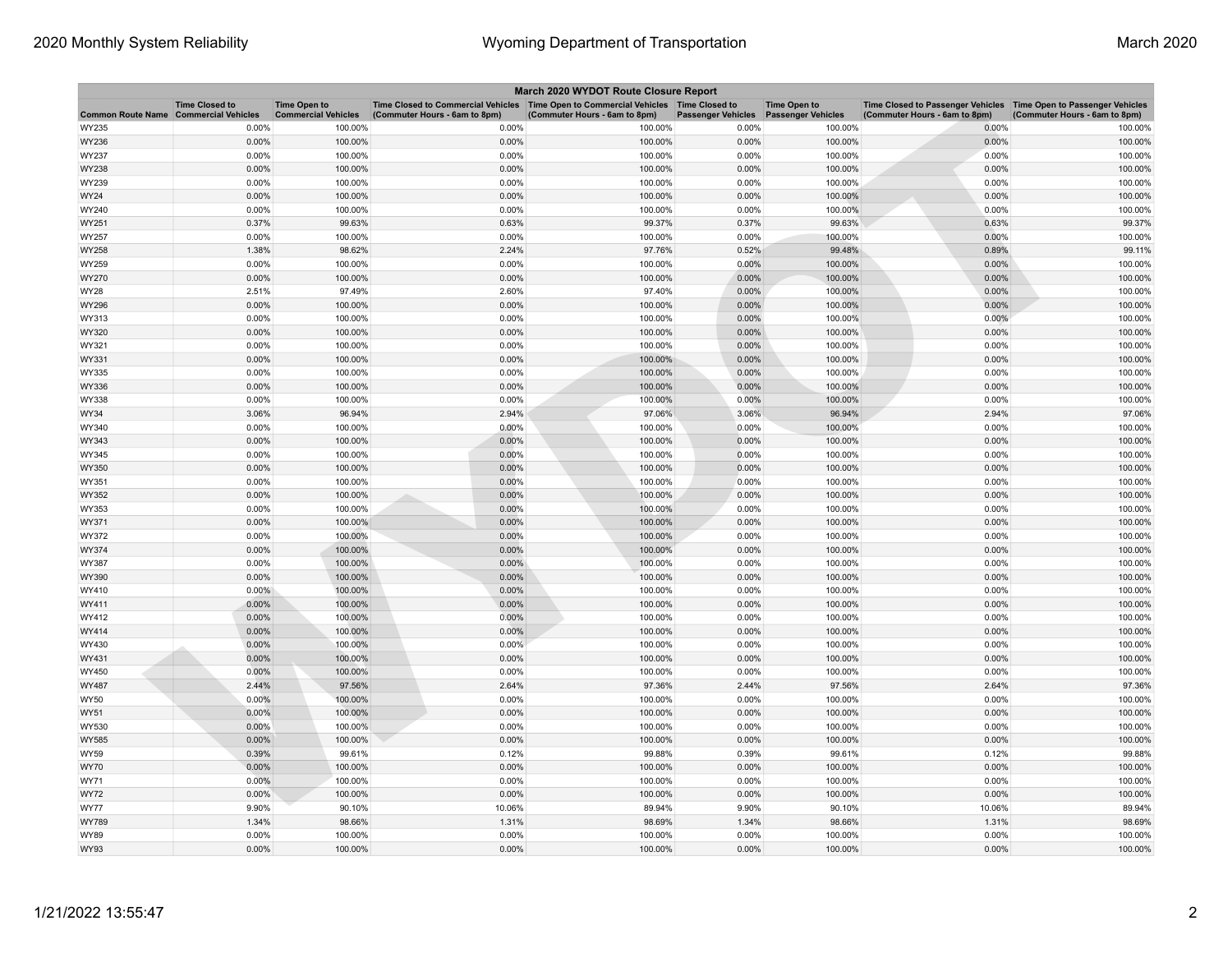| March 2020 WYDOT Route Closure Report |                                                     |                                                   |                                                                                                                         |                               |                           |                                                  |                                                                                                      |                               |  |
|---------------------------------------|-----------------------------------------------------|---------------------------------------------------|-------------------------------------------------------------------------------------------------------------------------|-------------------------------|---------------------------|--------------------------------------------------|------------------------------------------------------------------------------------------------------|-------------------------------|--|
| <b>Common Route Name</b>              | <b>Time Closed to</b><br><b>Commercial Vehicles</b> | <b>Time Open to</b><br><b>Commercial Vehicles</b> | Time Closed to Commercial Vehicles   Time Open to Commercial Vehicles   Time Closed to<br>(Commuter Hours - 6am to 8pm) | (Commuter Hours - 6am to 8pm) | <b>Passenger Vehicles</b> | <b>Time Open to</b><br><b>Passenger Vehicles</b> | Time Closed to Passenger Vehicles   Time Open to Passenger Vehicles<br>(Commuter Hours - 6am to 8pm) | (Commuter Hours - 6am to 8pm) |  |
| WY235                                 | 0.00%                                               | 100.00%                                           | 0.00%                                                                                                                   | 100.00%                       | 0.00%                     | 100.00%                                          | 0.00%                                                                                                | 100.00%                       |  |
| WY236                                 | 0.00%                                               | 100.00%                                           | 0.00%                                                                                                                   | 100.00%                       | 0.00%                     | 100.00%                                          | 0.00%                                                                                                | 100.00%                       |  |
| WY237                                 | 0.00%                                               | 100.00%                                           | 0.00%                                                                                                                   | 100.00%                       | 0.00%                     | 100.00%                                          | 0.00%                                                                                                | 100.00%                       |  |
| WY238                                 | 0.00%                                               | 100.00%                                           | 0.00%                                                                                                                   | 100.00%                       | 0.00%                     | 100.00%                                          | 0.00%                                                                                                | 100.00%                       |  |
| WY239                                 | 0.00%                                               | 100.00%                                           | 0.00%                                                                                                                   | 100.00%                       | 0.00%                     | 100.00%                                          | 0.00%                                                                                                | 100.00%                       |  |
| <b>WY24</b>                           | 0.00%                                               | 100.00%                                           | 0.00%                                                                                                                   | 100.00%                       | 0.00%                     | 100.00%                                          | 0.00%                                                                                                | 100.00%                       |  |
| WY240                                 | 0.00%                                               | 100.00%                                           | 0.00%                                                                                                                   | 100.00%                       | 0.00%                     | 100.00%                                          | 0.00%                                                                                                | 100.00%                       |  |
| WY251                                 | 0.37%                                               | 99.63%                                            | 0.63%                                                                                                                   | 99.37%                        | 0.37%                     | 99.63%                                           | 0.63%                                                                                                | 99.37%                        |  |
| WY257                                 | 0.00%                                               | 100.00%                                           | 0.00%                                                                                                                   | 100.00%                       | 0.00%                     | 100.00%                                          | 0.00%                                                                                                | 100.00%                       |  |
| WY258                                 | 1.38%                                               | 98.62%                                            | 2.24%                                                                                                                   | 97.76%                        | 0.52%                     | 99.48%                                           | 0.89%                                                                                                | 99.11%                        |  |
| WY259                                 | 0.00%                                               | 100.00%                                           | 0.00%                                                                                                                   | 100.00%                       | 0.00%                     | 100.00%                                          | 0.00%                                                                                                | 100.00%                       |  |
| WY270                                 | 0.00%                                               | 100.00%                                           | 0.00%                                                                                                                   | 100.00%                       | 0.00%                     | 100.00%                                          | 0.00%                                                                                                | 100.00%                       |  |
| <b>WY28</b>                           | 2.51%                                               | 97.49%                                            | 2.60%                                                                                                                   | 97.40%                        | 0.00%                     | 100.00%                                          | 0.00%                                                                                                | 100.00%                       |  |
| WY296                                 | 0.00%                                               | 100.00%                                           | 0.00%                                                                                                                   | 100.00%                       | 0.00%                     | 100.00%                                          | 0.00%                                                                                                | 100.00%                       |  |
| WY313                                 | 0.00%                                               | 100.00%                                           | 0.00%                                                                                                                   | 100.00%                       | 0.00%                     | 100.00%                                          | 0.00%                                                                                                | 100.00%                       |  |
| WY320                                 | 0.00%                                               | 100.00%                                           | 0.00%                                                                                                                   | 100.00%                       | 0.00%                     | 100.00%                                          | 0.00%                                                                                                | 100.00%                       |  |
| WY321                                 | 0.00%                                               | 100.00%                                           | 0.00%                                                                                                                   | 100.00%                       | 0.00%                     | 100.00%                                          | 0.00%                                                                                                | 100.00%                       |  |
| WY331                                 | 0.00%                                               | 100.00%                                           | 0.00%                                                                                                                   | 100.00%                       | 0.00%                     | 100.00%                                          | 0.00%                                                                                                | 100.00%                       |  |
| WY335                                 | 0.00%                                               | 100.00%                                           | 0.00%                                                                                                                   | 100.00%                       | 0.00%                     | 100.00%                                          | 0.00%                                                                                                | 100.00%                       |  |
| WY336                                 | 0.00%                                               | 100.00%                                           | 0.00%                                                                                                                   | 100.00%                       | 0.00%                     | 100.00%                                          | 0.00%                                                                                                | 100.00%                       |  |
| WY338                                 | 0.00%                                               | 100.00%                                           | 0.00%                                                                                                                   | 100.00%                       | 0.00%                     | 100.00%                                          | 0.00%                                                                                                | 100.00%                       |  |
| WY34                                  | 3.06%                                               | 96.94%                                            | 2.94%                                                                                                                   | 97.06%                        | 3.06%                     | 96.94%                                           | 2.94%                                                                                                | 97.06%                        |  |
| WY340                                 | 0.00%                                               | 100.00%                                           | 0.00%                                                                                                                   | 100.00%                       | 0.00%                     | 100.00%                                          | 0.00%                                                                                                | 100.00%                       |  |
| WY343                                 | 0.00%                                               | 100.00%                                           | 0.00%                                                                                                                   | 100.00%                       | 0.00%                     | 100.00%                                          | 0.00%                                                                                                | 100.00%                       |  |
| WY345                                 | 0.00%                                               | 100.00%                                           | 0.00%                                                                                                                   | 100.00%                       | 0.00%                     | 100.00%                                          | 0.00%                                                                                                | 100.00%                       |  |
| WY350                                 | 0.00%                                               | 100.00%                                           | 0.00%                                                                                                                   | 100.00%                       | 0.00%                     | 100.00%                                          | 0.00%                                                                                                | 100.00%                       |  |
| WY351                                 | 0.00%                                               | 100.00%                                           | 0.00%                                                                                                                   | 100.00%                       | 0.00%                     | 100.00%                                          | 0.00%                                                                                                | 100.00%                       |  |
| WY352                                 | 0.00%                                               | 100.00%                                           | 0.00%                                                                                                                   | 100.00%                       | 0.00%                     | 100.00%                                          | 0.00%                                                                                                | 100.00%                       |  |
| WY353                                 | 0.00%                                               | 100.00%                                           | 0.00%                                                                                                                   | 100.00%                       | 0.00%                     | 100.00%                                          | 0.00%                                                                                                | 100.00%                       |  |
| WY371                                 | 0.00%                                               | 100.00%                                           | 0.00%                                                                                                                   | 100.00%                       | 0.00%                     | 100.00%                                          | 0.00%                                                                                                | 100.00%                       |  |
| WY372                                 | 0.00%                                               | 100.00%                                           | 0.00%                                                                                                                   | 100.00%                       | 0.00%                     | 100.00%                                          | 0.00%                                                                                                | 100.00%                       |  |
| WY374                                 | 0.00%                                               | 100.00%                                           | 0.00%                                                                                                                   | 100.00%                       | 0.00%                     | 100.00%                                          | 0.00%                                                                                                | 100.00%                       |  |
| WY387                                 | 0.00%                                               | 100.00%                                           | 0.00%                                                                                                                   | 100.00%                       | 0.00%                     | 100.00%                                          | 0.00%                                                                                                | 100.00%                       |  |
| WY390                                 | 0.00%                                               | 100.00%                                           | 0.00%                                                                                                                   | 100.00%                       | 0.00%                     | 100.00%                                          | 0.00%                                                                                                | 100.00%                       |  |
| WY410                                 | $0.00\%$                                            | 100.00%                                           | 0.00%                                                                                                                   | 100.00%                       | 0.00%                     | 100.00%                                          | 0.00%                                                                                                | 100.00%                       |  |
| WY411                                 | 0.00%                                               | 100.00%                                           | 0.00%                                                                                                                   | 100.00%                       | 0.00%                     | 100.00%                                          | 0.00%                                                                                                | 100.00%                       |  |
| WY412                                 | 0.00%                                               | 100.00%                                           | 0.00%                                                                                                                   | 100.00%                       | 0.00%                     | 100.00%                                          | 0.00%                                                                                                | 100.00%                       |  |
| WY414                                 | 0.00%                                               | 100.00%                                           | 0.00%                                                                                                                   | 100.00%                       | 0.00%                     | 100.00%                                          | 0.00%                                                                                                | 100.00%                       |  |
| WY430                                 | 0.00%                                               | 100.00%                                           | 0.00%                                                                                                                   | 100.00%                       | 0.00%                     | 100.00%                                          | 0.00%                                                                                                | 100.00%                       |  |
| WY431                                 | 0.00%                                               | 100.00%                                           | 0.00%                                                                                                                   | 100.00%                       | 0.00%                     | 100.00%                                          | 0.00%                                                                                                | 100.00%                       |  |
| WY450                                 | 0.00%                                               | 100.00%                                           | 0.00%                                                                                                                   | 100.00%                       | 0.00%                     | 100.00%                                          | 0.00%                                                                                                | 100.00%                       |  |
| <b>WY487</b>                          | 2.44%                                               | 97.56%                                            | 2.64%                                                                                                                   | 97.36%                        | 2.44%                     | 97.56%                                           | 2.64%                                                                                                | 97.36%                        |  |
| WY50                                  | 0.00%                                               | 100.00%                                           | 0.00%                                                                                                                   | 100.00%                       | 0.00%                     | 100.00%                                          | 0.00%                                                                                                | 100.00%                       |  |
| <b>WY51</b>                           | 0.00%                                               | 100.00%                                           | 0.00%                                                                                                                   | 100.00%                       | 0.00%                     | 100.00%                                          | 0.00%                                                                                                | 100.00%                       |  |
| WY530                                 | 0.00%                                               | 100.00%                                           | 0.00%                                                                                                                   | 100.00%                       | 0.00%                     | 100.00%                                          | 0.00%                                                                                                | 100.00%                       |  |
| <b>WY585</b>                          | 0.00%                                               | 100.00%                                           | 0.00%                                                                                                                   | 100.00%                       | 0.00%                     | 100.00%                                          | 0.00%                                                                                                | 100.00%                       |  |
| WY59                                  | 0.39%                                               | 99.61%                                            | 0.12%                                                                                                                   | 99.88%                        | 0.39%                     | 99.61%                                           | 0.12%                                                                                                | 99.88%                        |  |
| <b>WY70</b>                           | 0.00%                                               | 100.00%                                           | 0.00%                                                                                                                   | 100.00%                       | 0.00%                     | 100.00%                                          | 0.00%                                                                                                | 100.00%                       |  |
| <b>WY71</b>                           | 0.00%                                               | 100.00%                                           | 0.00%                                                                                                                   | 100.00%                       | 0.00%                     | 100.00%                                          | 0.00%                                                                                                | 100.00%                       |  |
| <b>WY72</b>                           | 0.00%                                               | 100.00%                                           | 0.00%                                                                                                                   | 100.00%                       | 0.00%                     | 100.00%                                          | 0.00%                                                                                                | 100.00%                       |  |
| WY77                                  | 9.90%                                               | 90.10%                                            | 10.06%                                                                                                                  | 89.94%                        | 9.90%                     | 90.10%                                           | 10.06%                                                                                               | 89.94%                        |  |
| WY789                                 | 1.34%                                               | 98.66%                                            | 1.31%                                                                                                                   | 98.69%                        | 1.34%                     | 98.66%                                           | 1.31%                                                                                                | 98.69%                        |  |
| <b>WY89</b>                           | 0.00%                                               | 100.00%                                           | 0.00%                                                                                                                   | 100.00%                       | 0.00%                     | 100.00%                                          | 0.00%                                                                                                | 100.00%                       |  |
| <b>WY93</b>                           | 0.00%                                               | 100.00%                                           | 0.00%                                                                                                                   | 100.00%                       | 0.00%                     | 100.00%                                          | 0.00%                                                                                                | 100.00%                       |  |